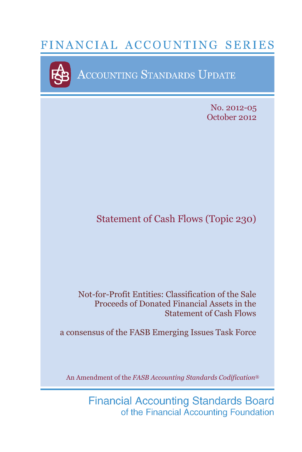# FINANCIAL ACCOUNTING SERIES



ACCOUNTING STANDARDS UPDATE

No. 2012-05 October 2012

## Statement of Cash Flows (Topic 230)

### Not-for-Profit Entities: Classification of the Sale Proceeds of Donated Financial Assets in the Statement of Cash Flows

a consensus of the FASB Emerging Issues Task Force

An Amendment of the *FASB Accounting Standards Codification*®

**Financial Accounting Standards Board** of the Financial Accounting Foundation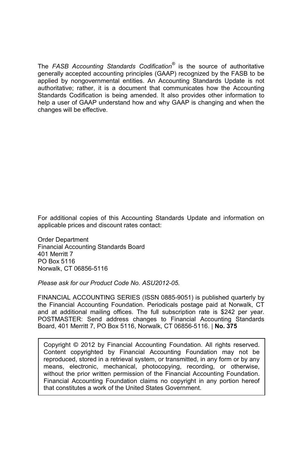The *FASB Accounting Standards Codification®* is the source of authoritative generally accepted accounting principles (GAAP) recognized by the FASB to be applied by nongovernmental entities. An Accounting Standards Update is not authoritative; rather, it is a document that communicates how the Accounting Standards Codification is being amended. It also provides other information to help a user of GAAP understand how and why GAAP is changing and when the changes will be effective.

For additional copies of this Accounting Standards Update and information on applicable prices and discount rates contact:

Order Department Financial Accounting Standards Board 401 Merritt 7 PO Box 5116 Norwalk, CT 06856-5116

*Please ask for our Product Code No. ASU2012-05.*

FINANCIAL ACCOUNTING SERIES (ISSN 0885-9051) is published quarterly by the Financial Accounting Foundation. Periodicals postage paid at Norwalk, CT and at additional mailing offices. The full subscription rate is \$242 per year. POSTMASTER: Send address changes to Financial Accounting Standards Board, 401 Merritt 7, PO Box 5116, Norwalk, CT 06856-5116. | **No. 375**

Copyright © 2012 by Financial Accounting Foundation. All rights reserved. Content copyrighted by Financial Accounting Foundation may not be reproduced, stored in a retrieval system, or transmitted, in any form or by any means, electronic, mechanical, photocopying, recording, or otherwise, without the prior written permission of the Financial Accounting Foundation. Financial Accounting Foundation claims no copyright in any portion hereof that constitutes a work of the United States Government.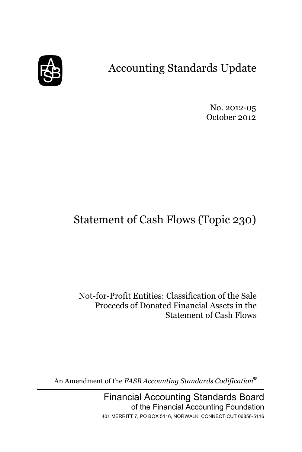

# Accounting Standards Update

No. 2012-05 October 2012

# Statement of Cash Flows (Topic 230)

Not-for-Profit Entities: Classification of the Sale Proceeds of Donated Financial Assets in the Statement of Cash Flows

An Amendment of the *FASB Accounting Standards Codification*®

Financial Accounting Standards Board of the Financial Accounting Foundation 401 MERRITT 7, PO BOX 5116, NORWALK, CONNECTICUT 06856-5116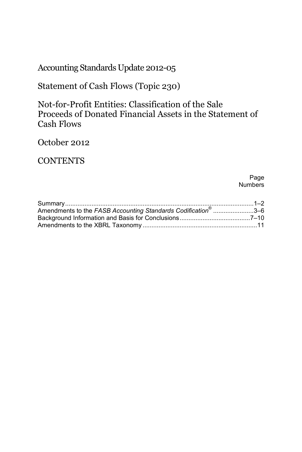Accounting Standards Update 2012-05

Statement of Cash Flows (Topic 230)

Not-for-Profit Entities: Classification of the Sale Proceeds of Donated Financial Assets in the Statement of Cash Flows

October 2012

**CONTENTS** 

Page **Numbers** 

| Amendments to the FASB Accounting Standards Codification <sup>®</sup> 3-6 |  |
|---------------------------------------------------------------------------|--|
|                                                                           |  |
|                                                                           |  |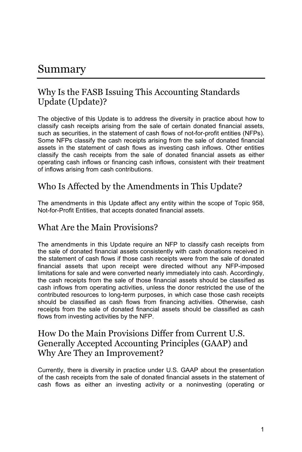## Summary

## Why Is the FASB Issuing This Accounting Standards Update (Update)?

The objective of this Update is to address the diversity in practice about how to classify cash receipts arising from the sale of certain donated financial assets, such as securities, in the statement of cash flows of not-for-profit entities (NFPs). Some NFPs classify the cash receipts arising from the sale of donated financial assets in the statement of cash flows as investing cash inflows. Other entities classify the cash receipts from the sale of donated financial assets as either operating cash inflows or financing cash inflows, consistent with their treatment of inflows arising from cash contributions.

### Who Is Affected by the Amendments in This Update?

The amendments in this Update affect any entity within the scope of Topic 958, Not-for-Profit Entities, that accepts donated financial assets.

#### What Are the Main Provisions?

The amendments in this Update require an NFP to classify cash receipts from the sale of donated financial assets consistently with cash donations received in the statement of cash flows if those cash receipts were from the sale of donated financial assets that upon receipt were directed without any NFP-imposed limitations for sale and were converted nearly immediately into cash. Accordingly, the cash receipts from the sale of those financial assets should be classified as cash inflows from operating activities, unless the donor restricted the use of the contributed resources to long-term purposes, in which case those cash receipts should be classified as cash flows from financing activities. Otherwise, cash receipts from the sale of donated financial assets should be classified as cash flows from investing activities by the NFP.

### How Do the Main Provisions Differ from Current U.S. Generally Accepted Accounting Principles (GAAP) and Why Are They an Improvement?

Currently, there is diversity in practice under U.S. GAAP about the presentation of the cash receipts from the sale of donated financial assets in the statement of cash flows as either an investing activity or a noninvesting (operating or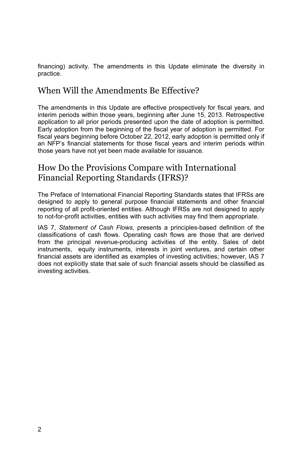financing) activity. The amendments in this Update eliminate the diversity in practice.

## When Will the Amendments Be Effective?

The amendments in this Update are effective prospectively for fiscal years, and interim periods within those years, beginning after June 15, 2013. Retrospective application to all prior periods presented upon the date of adoption is permitted. Early adoption from the beginning of the fiscal year of adoption is permitted. For fiscal years beginning before October 22, 2012, early adoption is permitted only if an NFP's financial statements for those fiscal years and interim periods within those years have not yet been made available for issuance.

## How Do the Provisions Compare with International Financial Reporting Standards (IFRS)?

The Preface of International Financial Reporting Standards states that IFRSs are designed to apply to general purpose financial statements and other financial reporting of all profit-oriented entities. Although IFRSs are not designed to apply to not-for-profit activities, entities with such activities may find them appropriate.

IAS 7, *Statement of Cash Flows*, presents a principles-based definition of the classifications of cash flows. Operating cash flows are those that are derived from the principal revenue-producing activities of the entity. Sales of debt instruments, equity instruments, interests in joint ventures, and certain other financial assets are identified as examples of investing activities; however, IAS 7 does not explicitly state that sale of such financial assets should be classified as investing activities.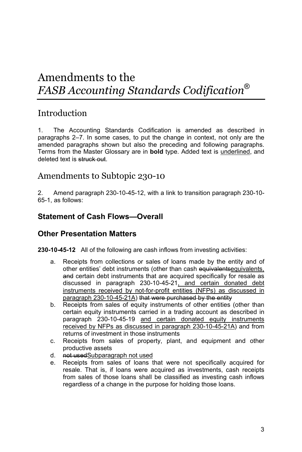## Amendments to the *FASB Accounting Standards Codification*®

## **Introduction**

1. The Accounting Standards Codification is amended as described in paragraphs 2–7. In some cases, to put the change in context, not only are the amended paragraphs shown but also the preceding and following paragraphs. Terms from the Master Glossary are in **bold** type. Added text is underlined, and deleted text is struck out.

#### Amendments to Subtopic 230-10

2. Amend paragraph 230-10-45-12, with a link to transition paragraph 230-10- 65-1, as follows:

#### **Statement of Cash Flows—Overall**

#### **Other Presentation Matters**

**230-10-45-12** All of the following are cash inflows from investing activities:

- a. Receipts from collections or sales of loans made by the entity and of other entities' debt instruments (other than cash equivalentsequivalents, and certain debt instruments that are acquired specifically for resale as discussed in paragraph 230-10-45-21, and certain donated debt instruments received by not-for-profit entities (NFPs) as discussed in paragraph 230-10-45-21A) that were purchased by the entity
- b. Receipts from sales of equity instruments of other entities (other than certain equity instruments carried in a trading account as described in paragraph 230-10-45-19 and certain donated equity instruments received by NFPs as discussed in paragraph 230-10-45-21A) and from returns of investment in those instruments
- c. Receipts from sales of property, plant, and equipment and other productive assets
- d. not usedSubparagraph not used
- e. Receipts from sales of loans that were not specifically acquired for resale. That is, if loans were acquired as investments, cash receipts from sales of those loans shall be classified as investing cash inflows regardless of a change in the purpose for holding those loans.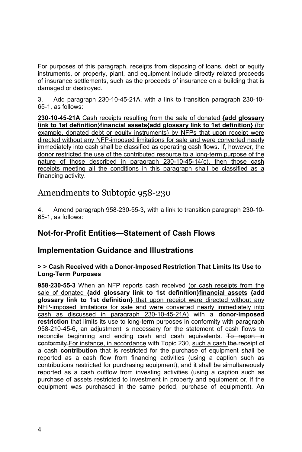For purposes of this paragraph, receipts from disposing of loans, debt or equity instruments, or property, plant, and equipment include directly related proceeds of insurance settlements, such as the proceeds of insurance on a building that is damaged or destroyed.

3. Add paragraph 230-10-45-21A, with a link to transition paragraph 230-10- 65-1, as follows:

**230-10-45-21A** Cash receipts resulting from the sale of donated **{add glossary link to 1st definition}financial assets{add glossary link to 1st definition}** (for example, donated debt or equity instruments) by NFPs that upon receipt were directed without any NFP-imposed limitations for sale and were converted nearly immediately into cash shall be classified as operating cash flows. If, however, the donor restricted the use of the contributed resource to a long-term purpose of the nature of those described in paragraph 230-10-45-14(c), then those cash receipts meeting all the conditions in this paragraph shall be classified as a financing activity.

## Amendments to Subtopic 958-230

4. Amend paragraph 958-230-55-3, with a link to transition paragraph 230-10- 65-1, as follows:

#### **Not-for-Profit Entities—Statement of Cash Flows**

#### **Implementation Guidance and Illustrations**

#### **> > Cash Received with a Donor-Imposed Restriction That Limits Its Use to Long-Term Purposes**

**958-230-55-3** When an NFP reports cash received (or cash receipts from the sale of donated **{add glossary link to 1st definition}financial assets {add glossary link to 1st definition}** that upon receipt were directed without any NFP-imposed limitations for sale and were converted nearly immediately into cash as discussed in paragraph 230-10-45-21A) with a **donor-imposed restriction** that limits its use to long-term purposes in conformity with paragraph 958-210-45-6, an adjustment is necessary for the statement of cash flows to reconcile beginning and ending cash and cash equivalents. To report in conformity For instance, in accordance with Topic 230, such a cash the receipt of a cash **contribution** that is restricted for the purchase of equipment shall be reported as a cash flow from financing activities (using a caption such as contributions restricted for purchasing equipment), and it shall be simultaneously reported as a cash outflow from investing activities (using a caption such as purchase of assets restricted to investment in property and equipment or, if the equipment was purchased in the same period, purchase of equipment). An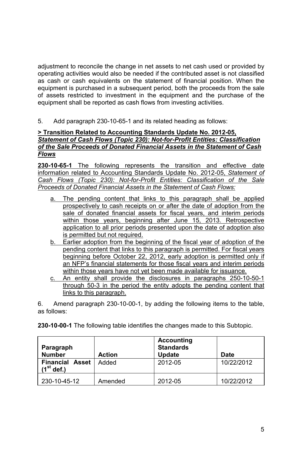adjustment to reconcile the change in net assets to net cash used or provided by operating activities would also be needed if the contributed asset is not classified as cash or cash equivalents on the statement of financial position. When the equipment is purchased in a subsequent period, both the proceeds from the sale of assets restricted to investment in the equipment and the purchase of the equipment shall be reported as cash flows from investing activities.

5. Add paragraph 230-10-65-1 and its related heading as follows:

#### **> Transition Related to Accounting Standards Update No. 2012-05,**  *Statement of Cash Flows (Topic 230): Not-for-Profit Entities: Classification of the Sale Proceeds of Donated Financial Assets in the Statement of Cash Flows*

**230-10-65-1** The following represents the transition and effective date information related to Accounting Standards Update No. 2012-05, *Statement of Cash Flows (Topic 230): Not-for-Profit Entities: Classification of the Sale Proceeds of Donated Financial Assets in the Statement of Cash Flows:*

- a. The pending content that links to this paragraph shall be applied prospectively to cash receipts on or after the date of adoption from the sale of donated financial assets for fiscal years, and interim periods within those years, beginning after June 15, 2013. Retrospective application to all prior periods presented upon the date of adoption also is permitted but not required.
- b. Earlier adoption from the beginning of the fiscal year of adoption of the pending content that links to this paragraph is permitted. For fiscal years beginning before October 22, 2012, early adoption is permitted only if an NFP's financial statements for those fiscal years and interim periods within those years have not yet been made available for issuance.
- c. An entity shall provide the disclosures in paragraphs 250-10-50-1 through 50-3 in the period the entity adopts the pending content that links to this paragraph.

6. Amend paragraph 230-10-00-1, by adding the following items to the table, as follows:

**230-10-00-1** The following table identifies the changes made to this Subtopic.

| Paragraph<br><b>Number</b>             | <b>Action</b> | <b>Accounting</b><br><b>Standards</b><br><b>Update</b> | Date       |
|----------------------------------------|---------------|--------------------------------------------------------|------------|
| <b>Financial Asset</b><br>$(1st$ def.) | Added         | 2012-05                                                | 10/22/2012 |
| 230-10-45-12                           | Amended       | 2012-05                                                | 10/22/2012 |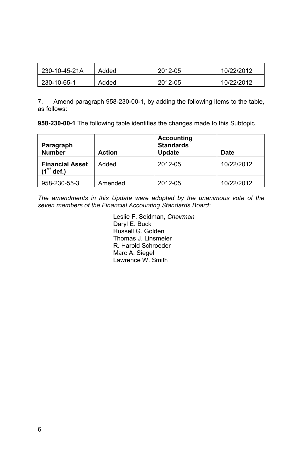| 230-10-45-21A | Added | 2012-05 | 10/22/2012 |
|---------------|-------|---------|------------|
| 230-10-65-1   | Added | 2012-05 | 10/22/2012 |

7. Amend paragraph 958-230-00-1, by adding the following items to the table, as follows:

**958-230-00-1** The following table identifies the changes made to this Subtopic.

| Paragraph<br><b>Number</b>             | <b>Action</b> | <b>Accounting</b><br><b>Standards</b><br><b>Update</b> | Date       |
|----------------------------------------|---------------|--------------------------------------------------------|------------|
| <b>Financial Asset</b><br>$(1st$ def.) | Added         | 2012-05                                                | 10/22/2012 |
| 958-230-55-3                           | Amended       | 2012-05                                                | 10/22/2012 |

*The amendments in this Update were adopted by the unanimous vote of the seven members of the Financial Accounting Standards Board:*

> Leslie F. Seidman, *Chairman* Daryl E. Buck Russell G. Golden Thomas J. Linsmeier R. Harold Schroeder Marc A. Siegel Lawrence W. Smith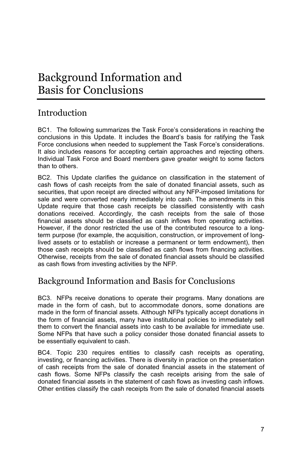## Background Information and Basis for Conclusions

## Introduction

BC1. The following summarizes the Task Force's considerations in reaching the conclusions in this Update. It includes the Board's basis for ratifying the Task Force conclusions when needed to supplement the Task Force's considerations. It also includes reasons for accepting certain approaches and rejecting others. Individual Task Force and Board members gave greater weight to some factors than to others.

BC2. This Update clarifies the guidance on classification in the statement of cash flows of cash receipts from the sale of donated financial assets, such as securities, that upon receipt are directed without any NFP-imposed limitations for sale and were converted nearly immediately into cash. The amendments in this Update require that those cash receipts be classified consistently with cash donations received. Accordingly, the cash receipts from the sale of those financial assets should be classified as cash inflows from operating activities. However, if the donor restricted the use of the contributed resource to a longterm purpose (for example, the acquisition, construction, or improvement of longlived assets or to establish or increase a permanent or term endowment), then those cash receipts should be classified as cash flows from financing activities. Otherwise, receipts from the sale of donated financial assets should be classified as cash flows from investing activities by the NFP.

## Background Information and Basis for Conclusions

BC3. NFPs receive donations to operate their programs. Many donations are made in the form of cash, but to accommodate donors, some donations are made in the form of financial assets. Although NFPs typically accept donations in the form of financial assets, many have institutional policies to immediately sell them to convert the financial assets into cash to be available for immediate use. Some NFPs that have such a policy consider those donated financial assets to be essentially equivalent to cash.

BC4. Topic 230 requires entities to classify cash receipts as operating, investing, or financing activities. There is diversity in practice on the presentation of cash receipts from the sale of donated financial assets in the statement of cash flows. Some NFPs classify the cash receipts arising from the sale of donated financial assets in the statement of cash flows as investing cash inflows. Other entities classify the cash receipts from the sale of donated financial assets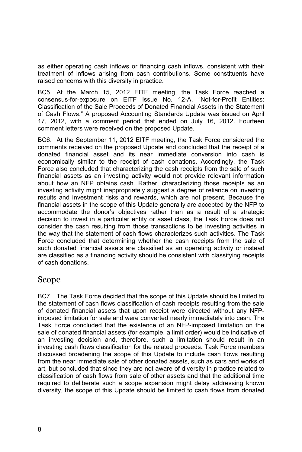as either operating cash inflows or financing cash inflows, consistent with their treatment of inflows arising from cash contributions. Some constituents have raised concerns with this diversity in practice.

BC5. At the March 15, 2012 EITF meeting, the Task Force reached a consensus-for-exposure on EITF Issue No. 12-A, "Not-for-Profit Entities: Classification of the Sale Proceeds of Donated Financial Assets in the Statement of Cash Flows." A proposed Accounting Standards Update was issued on April 17, 2012, with a comment period that ended on July 16, 2012. Fourteen comment letters were received on the proposed Update.

BC6. At the September 11, 2012 EITF meeting, the Task Force considered the comments received on the proposed Update and concluded that the receipt of a donated financial asset and its near immediate conversion into cash is economically similar to the receipt of cash donations. Accordingly, the Task Force also concluded that characterizing the cash receipts from the sale of such financial assets as an investing activity would not provide relevant information about how an NFP obtains cash. Rather, characterizing those receipts as an investing activity might inappropriately suggest a degree of reliance on investing results and investment risks and rewards, which are not present. Because the financial assets in the scope of this Update generally are accepted by the NFP to accommodate the donor's objectives rather than as a result of a strategic decision to invest in a particular entity or asset class, the Task Force does not consider the cash resulting from those transactions to be investing activities in the way that the statement of cash flows characterizes such activities. The Task Force concluded that determining whether the cash receipts from the sale of such donated financial assets are classified as an operating activity or instead are classified as a financing activity should be consistent with classifying receipts of cash donations.

#### Scope

BC7. The Task Force decided that the scope of this Update should be limited to the statement of cash flows classification of cash receipts resulting from the sale of donated financial assets that upon receipt were directed without any NFPimposed limitation for sale and were converted nearly immediately into cash. The Task Force concluded that the existence of an NFP-imposed limitation on the sale of donated financial assets (for example, a limit order) would be indicative of an investing decision and, therefore, such a limitation should result in an investing cash flows classification for the related proceeds. Task Force members discussed broadening the scope of this Update to include cash flows resulting from the near immediate sale of other donated assets, such as cars and works of art, but concluded that since they are not aware of diversity in practice related to classification of cash flows from sale of other assets and that the additional time required to deliberate such a scope expansion might delay addressing known diversity, the scope of this Update should be limited to cash flows from donated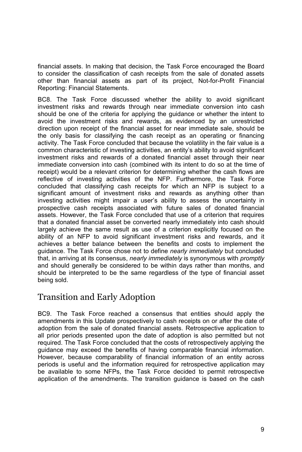financial assets. In making that decision, the Task Force encouraged the Board to consider the classification of cash receipts from the sale of donated assets other than financial assets as part of its project, Not-for-Profit Financial Reporting: Financial Statements.

BC8. The Task Force discussed whether the ability to avoid significant investment risks and rewards through near immediate conversion into cash should be one of the criteria for applying the guidance or whether the intent to avoid the investment risks and rewards, as evidenced by an unrestricted direction upon receipt of the financial asset for near immediate sale, should be the only basis for classifying the cash receipt as an operating or financing activity. The Task Force concluded that because the volatility in the fair value is a common characteristic of investing activities, an entity's ability to avoid significant investment risks and rewards of a donated financial asset through their near immediate conversion into cash (combined with its intent to do so at the time of receipt) would be a relevant criterion for determining whether the cash flows are reflective of investing activities of the NFP. Furthermore, the Task Force concluded that classifying cash receipts for which an NFP is subject to a significant amount of investment risks and rewards as anything other than investing activities might impair a user's ability to assess the uncertainty in prospective cash receipts associated with future sales of donated financial assets. However, the Task Force concluded that use of a criterion that requires that a donated financial asset be converted nearly immediately into cash should largely achieve the same result as use of a criterion explicitly focused on the ability of an NFP to avoid significant investment risks and rewards, and it achieves a better balance between the benefits and costs to implement the guidance. The Task Force chose not to define *nearly immediately* but concluded that, in arriving at its consensus, *nearly immediately* is synonymous with *promptly* and should generally be considered to be within days rather than months, and should be interpreted to be the same regardless of the type of financial asset being sold.

### Transition and Early Adoption

BC9. The Task Force reached a consensus that entities should apply the amendments in this Update prospectively to cash receipts on or after the date of adoption from the sale of donated financial assets. Retrospective application to all prior periods presented upon the date of adoption is also permitted but not required. The Task Force concluded that the costs of retrospectively applying the guidance may exceed the benefits of having comparable financial information. However, because comparability of financial information of an entity across periods is useful and the information required for retrospective application may be available to some NFPs, the Task Force decided to permit retrospective application of the amendments. The transition guidance is based on the cash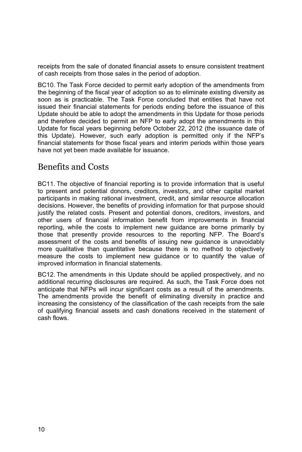receipts from the sale of donated financial assets to ensure consistent treatment of cash receipts from those sales in the period of adoption.

BC10. The Task Force decided to permit early adoption of the amendments from the beginning of the fiscal year of adoption so as to eliminate existing diversity as soon as is practicable. The Task Force concluded that entities that have not issued their financial statements for periods ending before the issuance of this Update should be able to adopt the amendments in this Update for those periods and therefore decided to permit an NFP to early adopt the amendments in this Update for fiscal years beginning before October 22, 2012 (the issuance date of this Update). However, such early adoption is permitted only if the NFP's financial statements for those fiscal years and interim periods within those years have not yet been made available for issuance.

## Benefits and Costs

BC11. The objective of financial reporting is to provide information that is useful to present and potential donors, creditors, investors, and other capital market participants in making rational investment, credit, and similar resource allocation decisions. However, the benefits of providing information for that purpose should justify the related costs. Present and potential donors, creditors, investors, and other users of financial information benefit from improvements in financial reporting, while the costs to implement new guidance are borne primarily by those that presently provide resources to the reporting NFP. The Board's assessment of the costs and benefits of issuing new guidance is unavoidably more qualitative than quantitative because there is no method to objectively measure the costs to implement new guidance or to quantify the value of improved information in financial statements.

BC12. The amendments in this Update should be applied prospectively, and no additional recurring disclosures are required. As such, the Task Force does not anticipate that NFPs will incur significant costs as a result of the amendments. The amendments provide the benefit of eliminating diversity in practice and increasing the consistency of the classification of the cash receipts from the sale of qualifying financial assets and cash donations received in the statement of cash flows.